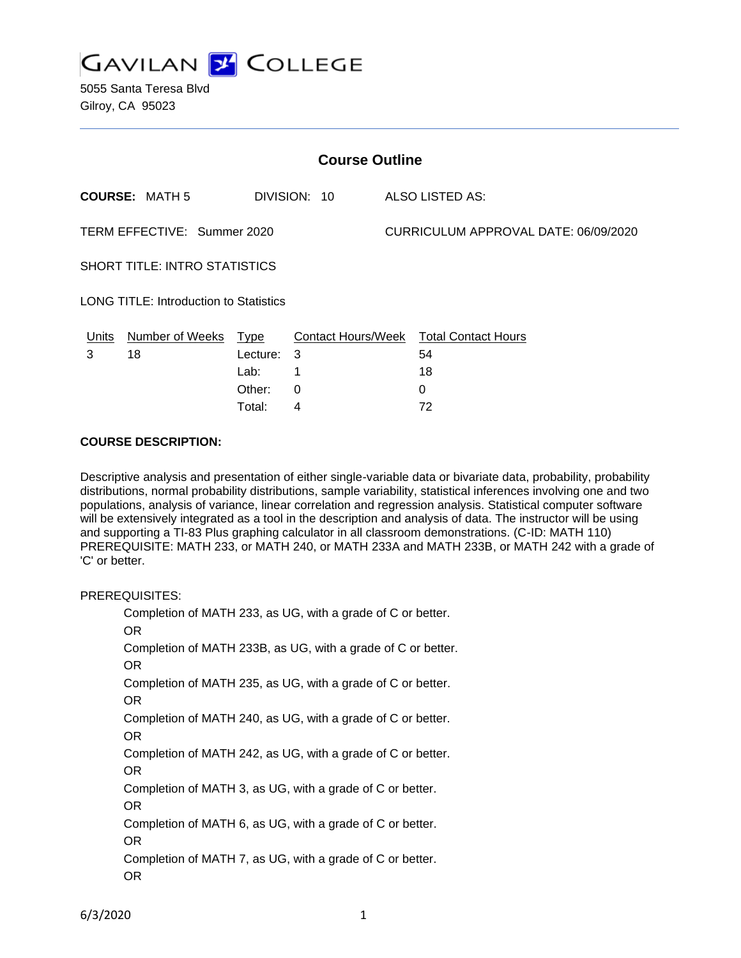

| <b>Course Outline</b>                         |                       |          |              |                                      |                                        |
|-----------------------------------------------|-----------------------|----------|--------------|--------------------------------------|----------------------------------------|
|                                               | <b>COURSE: MATH 5</b> |          | DIVISION: 10 |                                      | <b>ALSO LISTED AS:</b>                 |
| TERM EFFECTIVE: Summer 2020                   |                       |          |              | CURRICULUM APPROVAL DATE: 06/09/2020 |                                        |
| <b>SHORT TITLE: INTRO STATISTICS</b>          |                       |          |              |                                      |                                        |
| <b>LONG TITLE: Introduction to Statistics</b> |                       |          |              |                                      |                                        |
| Units                                         | Number of Weeks Type  |          |              |                                      | Contact Hours/Week Total Contact Hours |
| 3                                             | 18                    | Lecture: | -3           |                                      | 54                                     |
|                                               |                       | Lab:     | 1            |                                      | 18                                     |
|                                               |                       | Other:   | 0            |                                      | 0                                      |
|                                               |                       | Total:   | 4            |                                      | 72                                     |

#### **COURSE DESCRIPTION:**

Descriptive analysis and presentation of either single-variable data or bivariate data, probability, probability distributions, normal probability distributions, sample variability, statistical inferences involving one and two populations, analysis of variance, linear correlation and regression analysis. Statistical computer software will be extensively integrated as a tool in the description and analysis of data. The instructor will be using and supporting a TI-83 Plus graphing calculator in all classroom demonstrations. (C-ID: MATH 110) PREREQUISITE: MATH 233, or MATH 240, or MATH 233A and MATH 233B, or MATH 242 with a grade of 'C' or better.

PREREQUISITES:

Completion of MATH 233, as UG, with a grade of C or better. OR Completion of MATH 233B, as UG, with a grade of C or better. OR Completion of MATH 235, as UG, with a grade of C or better. OR Completion of MATH 240, as UG, with a grade of C or better. OR Completion of MATH 242, as UG, with a grade of C or better. OR Completion of MATH 3, as UG, with a grade of C or better. OR Completion of MATH 6, as UG, with a grade of C or better. OR Completion of MATH 7, as UG, with a grade of C or better. OR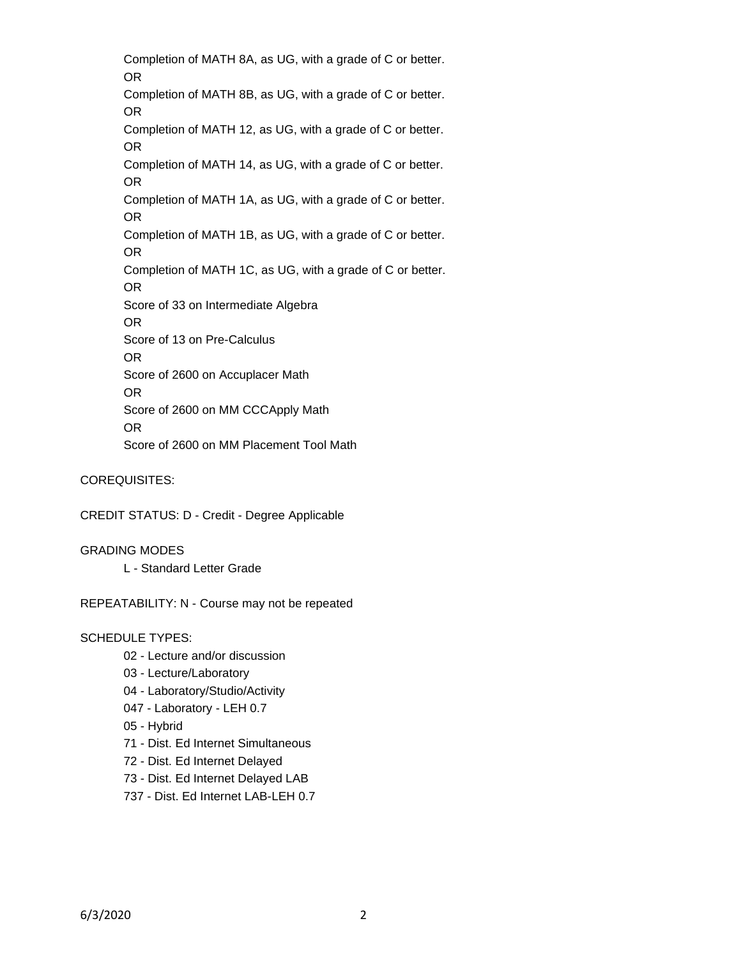Completion of MATH 8A, as UG, with a grade of C or better. OR Completion of MATH 8B, as UG, with a grade of C or better. OR Completion of MATH 12, as UG, with a grade of C or better. OR Completion of MATH 14, as UG, with a grade of C or better. OR Completion of MATH 1A, as UG, with a grade of C or better. OR Completion of MATH 1B, as UG, with a grade of C or better. OR Completion of MATH 1C, as UG, with a grade of C or better. OR Score of 33 on Intermediate Algebra OR Score of 13 on Pre-Calculus OR Score of 2600 on Accuplacer Math OR Score of 2600 on MM CCCApply Math OR Score of 2600 on MM Placement Tool Math

COREQUISITES:

CREDIT STATUS: D - Credit - Degree Applicable

GRADING MODES L - Standard Letter Grade

REPEATABILITY: N - Course may not be repeated

#### SCHEDULE TYPES:

- 02 Lecture and/or discussion
- 03 Lecture/Laboratory
- 04 Laboratory/Studio/Activity
- 047 Laboratory LEH 0.7
- 05 Hybrid
- 71 Dist. Ed Internet Simultaneous
- 72 Dist. Ed Internet Delayed
- 73 Dist. Ed Internet Delayed LAB
- 737 Dist. Ed Internet LAB-LEH 0.7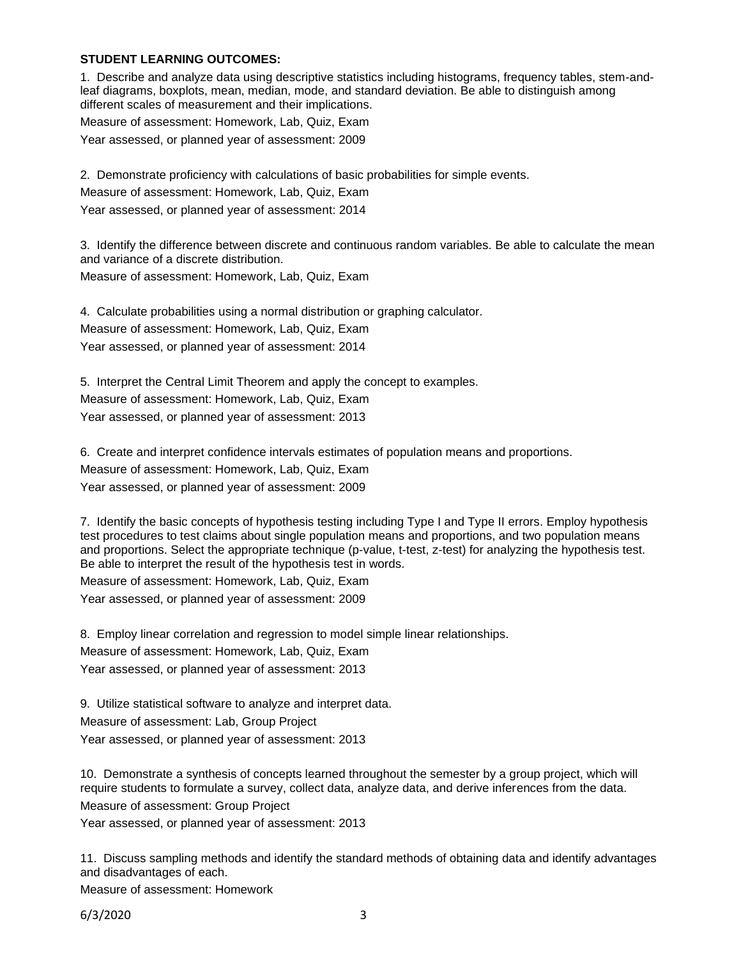#### **STUDENT LEARNING OUTCOMES:**

1. Describe and analyze data using descriptive statistics including histograms, frequency tables, stem-andleaf diagrams, boxplots, mean, median, mode, and standard deviation. Be able to distinguish among different scales of measurement and their implications.

Measure of assessment: Homework, Lab, Quiz, Exam

Year assessed, or planned year of assessment: 2009

2. Demonstrate proficiency with calculations of basic probabilities for simple events.

Measure of assessment: Homework, Lab, Quiz, Exam

Year assessed, or planned year of assessment: 2014

3. Identify the difference between discrete and continuous random variables. Be able to calculate the mean and variance of a discrete distribution.

Measure of assessment: Homework, Lab, Quiz, Exam

4. Calculate probabilities using a normal distribution or graphing calculator. Measure of assessment: Homework, Lab, Quiz, Exam Year assessed, or planned year of assessment: 2014

5. Interpret the Central Limit Theorem and apply the concept to examples. Measure of assessment: Homework, Lab, Quiz, Exam Year assessed, or planned year of assessment: 2013

6. Create and interpret confidence intervals estimates of population means and proportions. Measure of assessment: Homework, Lab, Quiz, Exam Year assessed, or planned year of assessment: 2009

7. Identify the basic concepts of hypothesis testing including Type I and Type II errors. Employ hypothesis test procedures to test claims about single population means and proportions, and two population means and proportions. Select the appropriate technique (p-value, t-test, z-test) for analyzing the hypothesis test. Be able to interpret the result of the hypothesis test in words.

Measure of assessment: Homework, Lab, Quiz, Exam Year assessed, or planned year of assessment: 2009

8. Employ linear correlation and regression to model simple linear relationships. Measure of assessment: Homework, Lab, Quiz, Exam

Year assessed, or planned year of assessment: 2013

9. Utilize statistical software to analyze and interpret data. Measure of assessment: Lab, Group Project Year assessed, or planned year of assessment: 2013

10. Demonstrate a synthesis of concepts learned throughout the semester by a group project, which will require students to formulate a survey, collect data, analyze data, and derive inferences from the data.

Measure of assessment: Group Project

Year assessed, or planned year of assessment: 2013

11. Discuss sampling methods and identify the standard methods of obtaining data and identify advantages and disadvantages of each.

Measure of assessment: Homework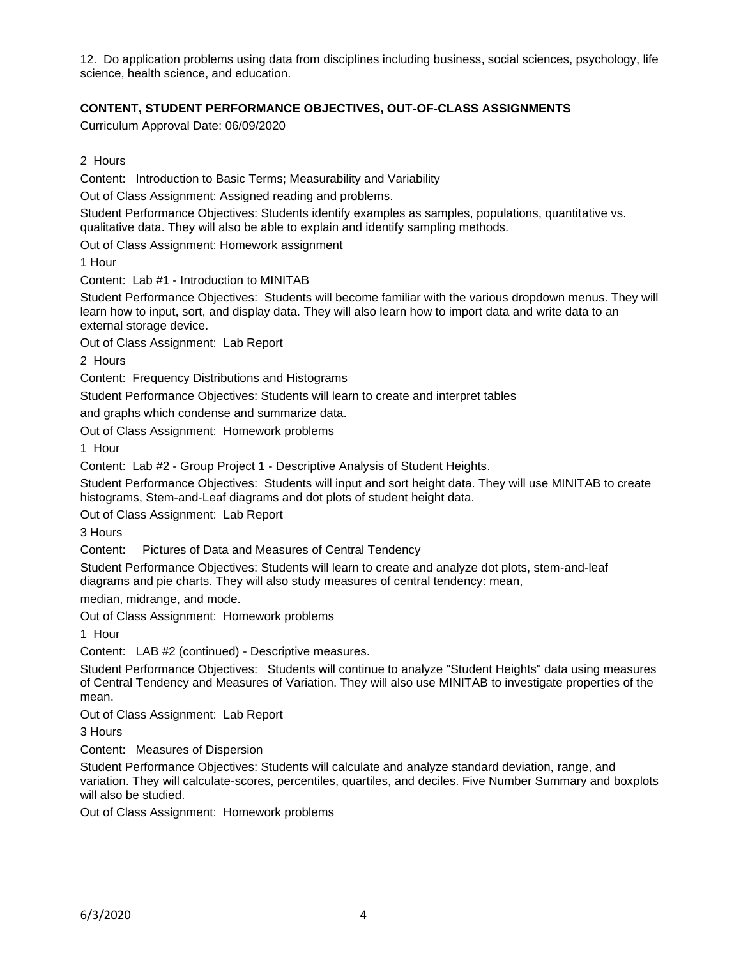12. Do application problems using data from disciplines including business, social sciences, psychology, life science, health science, and education.

## **CONTENT, STUDENT PERFORMANCE OBJECTIVES, OUT-OF-CLASS ASSIGNMENTS**

Curriculum Approval Date: 06/09/2020

2 Hours

Content: Introduction to Basic Terms; Measurability and Variability

Out of Class Assignment: Assigned reading and problems.

Student Performance Objectives: Students identify examples as samples, populations, quantitative vs. qualitative data. They will also be able to explain and identify sampling methods.

Out of Class Assignment: Homework assignment

1 Hour

Content: Lab #1 - Introduction to MINITAB

Student Performance Objectives: Students will become familiar with the various dropdown menus. They will learn how to input, sort, and display data. They will also learn how to import data and write data to an external storage device.

Out of Class Assignment: Lab Report

2 Hours

Content: Frequency Distributions and Histograms

Student Performance Objectives: Students will learn to create and interpret tables

and graphs which condense and summarize data.

Out of Class Assignment: Homework problems

1 Hour

Content: Lab #2 - Group Project 1 - Descriptive Analysis of Student Heights.

Student Performance Objectives: Students will input and sort height data. They will use MINITAB to create histograms, Stem-and-Leaf diagrams and dot plots of student height data.

Out of Class Assignment: Lab Report

3 Hours

Content: Pictures of Data and Measures of Central Tendency

Student Performance Objectives: Students will learn to create and analyze dot plots, stem-and-leaf diagrams and pie charts. They will also study measures of central tendency: mean,

median, midrange, and mode.

Out of Class Assignment: Homework problems

1 Hour

Content: LAB #2 (continued) - Descriptive measures.

Student Performance Objectives: Students will continue to analyze "Student Heights" data using measures of Central Tendency and Measures of Variation. They will also use MINITAB to investigate properties of the mean.

Out of Class Assignment: Lab Report

3 Hours

Content: Measures of Dispersion

Student Performance Objectives: Students will calculate and analyze standard deviation, range, and variation. They will calculate-scores, percentiles, quartiles, and deciles. Five Number Summary and boxplots will also be studied.

Out of Class Assignment: Homework problems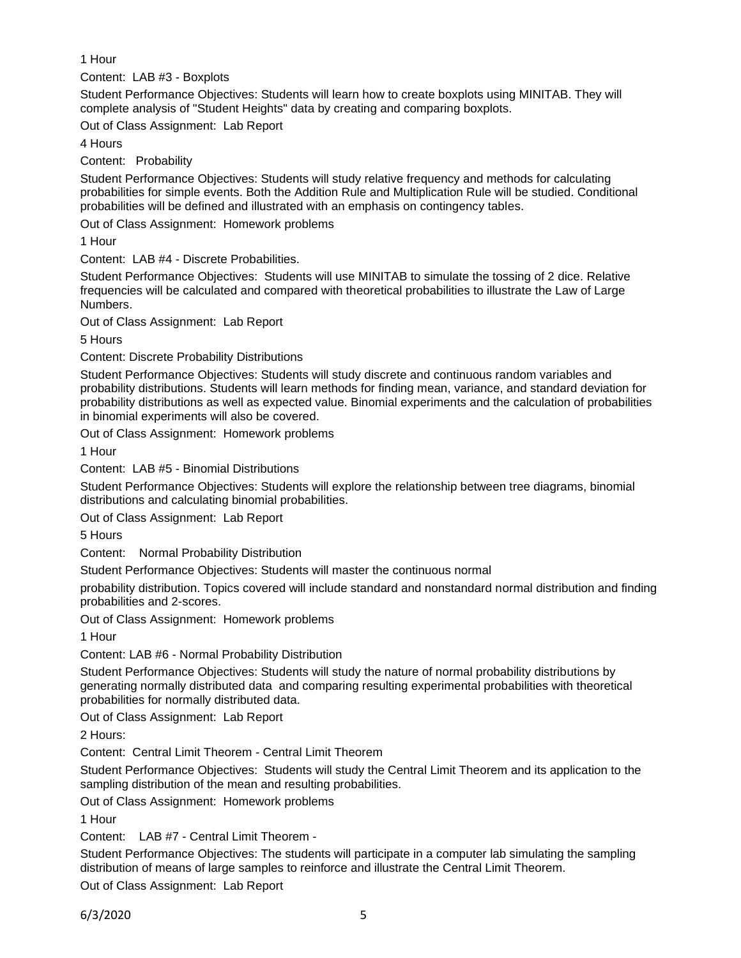1 Hour

Content: LAB #3 - Boxplots

Student Performance Objectives: Students will learn how to create boxplots using MINITAB. They will complete analysis of "Student Heights" data by creating and comparing boxplots.

Out of Class Assignment: Lab Report

4 Hours

Content: Probability

Student Performance Objectives: Students will study relative frequency and methods for calculating probabilities for simple events. Both the Addition Rule and Multiplication Rule will be studied. Conditional probabilities will be defined and illustrated with an emphasis on contingency tables.

Out of Class Assignment: Homework problems

1 Hour

Content: LAB #4 - Discrete Probabilities.

Student Performance Objectives: Students will use MINITAB to simulate the tossing of 2 dice. Relative frequencies will be calculated and compared with theoretical probabilities to illustrate the Law of Large Numbers.

Out of Class Assignment: Lab Report

5 Hours

Content: Discrete Probability Distributions

Student Performance Objectives: Students will study discrete and continuous random variables and probability distributions. Students will learn methods for finding mean, variance, and standard deviation for probability distributions as well as expected value. Binomial experiments and the calculation of probabilities in binomial experiments will also be covered.

Out of Class Assignment: Homework problems

1 Hour

Content: LAB #5 - Binomial Distributions

Student Performance Objectives: Students will explore the relationship between tree diagrams, binomial distributions and calculating binomial probabilities.

Out of Class Assignment: Lab Report

5 Hours

Content: Normal Probability Distribution

Student Performance Objectives: Students will master the continuous normal

probability distribution. Topics covered will include standard and nonstandard normal distribution and finding probabilities and 2-scores.

Out of Class Assignment: Homework problems

1 Hour

Content: LAB #6 - Normal Probability Distribution

Student Performance Objectives: Students will study the nature of normal probability distributions by generating normally distributed data and comparing resulting experimental probabilities with theoretical probabilities for normally distributed data.

Out of Class Assignment: Lab Report

2 Hours:

Content: Central Limit Theorem - Central Limit Theorem

Student Performance Objectives: Students will study the Central Limit Theorem and its application to the sampling distribution of the mean and resulting probabilities.

Out of Class Assignment: Homework problems

1 Hour

Content: LAB #7 - Central Limit Theorem -

Student Performance Objectives: The students will participate in a computer lab simulating the sampling distribution of means of large samples to reinforce and illustrate the Central Limit Theorem.

Out of Class Assignment: Lab Report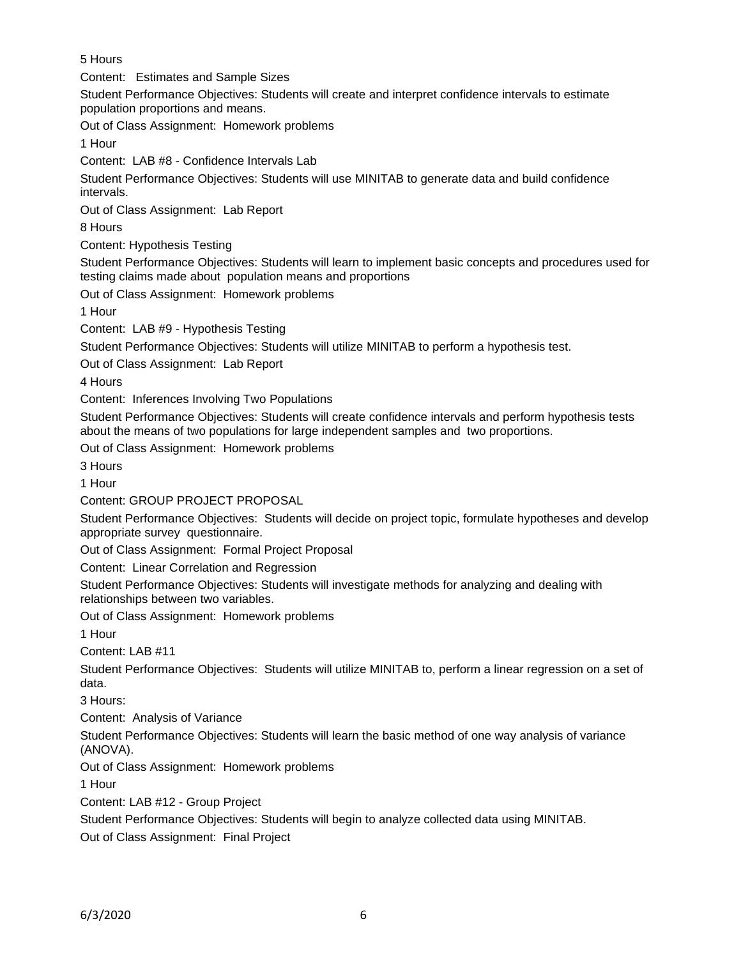5 Hours

Content: Estimates and Sample Sizes

Student Performance Objectives: Students will create and interpret confidence intervals to estimate population proportions and means.

Out of Class Assignment: Homework problems

1 Hour

Content: LAB #8 - Confidence Intervals Lab

Student Performance Objectives: Students will use MINITAB to generate data and build confidence intervals.

Out of Class Assignment: Lab Report

8 Hours

Content: Hypothesis Testing

Student Performance Objectives: Students will learn to implement basic concepts and procedures used for testing claims made about population means and proportions

Out of Class Assignment: Homework problems

1 Hour

Content: LAB #9 - Hypothesis Testing

Student Performance Objectives: Students will utilize MINITAB to perform a hypothesis test.

Out of Class Assignment: Lab Report

4 Hours

Content: Inferences Involving Two Populations

Student Performance Objectives: Students will create confidence intervals and perform hypothesis tests about the means of two populations for large independent samples and two proportions.

Out of Class Assignment: Homework problems

3 Hours

1 Hour

Content: GROUP PROJECT PROPOSAL

Student Performance Objectives: Students will decide on project topic, formulate hypotheses and develop appropriate survey questionnaire.

Out of Class Assignment: Formal Project Proposal

Content: Linear Correlation and Regression

Student Performance Objectives: Students will investigate methods for analyzing and dealing with relationships between two variables.

Out of Class Assignment: Homework problems

1 Hour

Content: LAB #11

Student Performance Objectives: Students will utilize MINITAB to, perform a linear regression on a set of data.

3 Hours:

Content: Analysis of Variance

Student Performance Objectives: Students will learn the basic method of one way analysis of variance (ANOVA).

Out of Class Assignment: Homework problems

1 Hour

Content: LAB #12 - Group Project

Student Performance Objectives: Students will begin to analyze collected data using MINITAB.

Out of Class Assignment: Final Project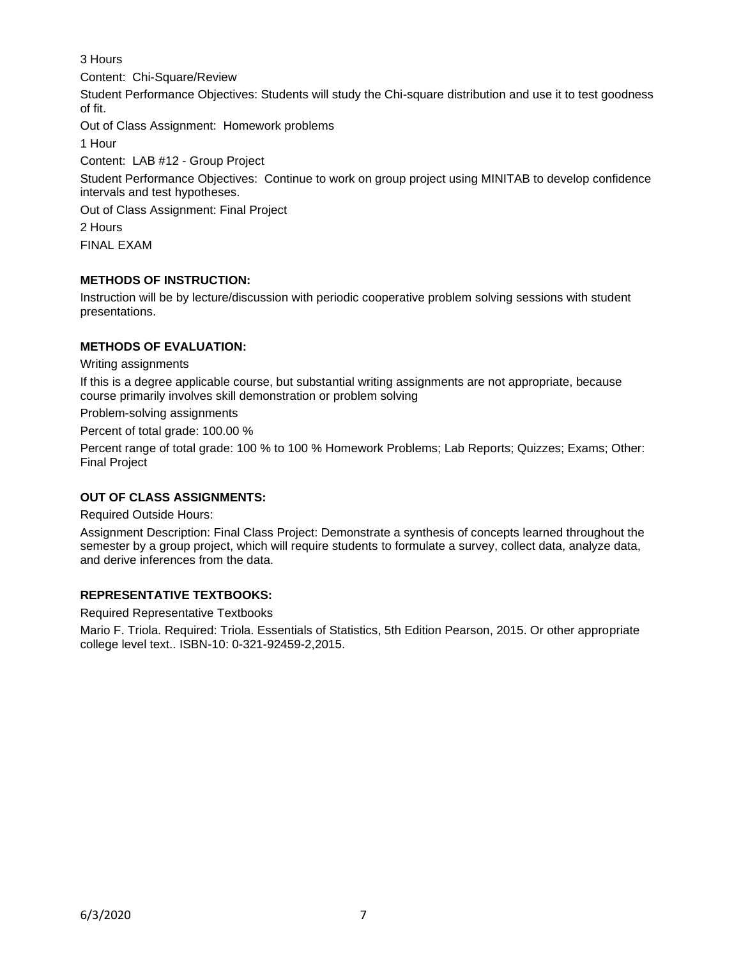# 3 Hours

Content: Chi-Square/Review

Student Performance Objectives: Students will study the Chi-square distribution and use it to test goodness of fit.

Out of Class Assignment: Homework problems

1 Hour

Content: LAB #12 - Group Project

Student Performance Objectives: Continue to work on group project using MINITAB to develop confidence intervals and test hypotheses.

Out of Class Assignment: Final Project

2 Hours

FINAL EXAM

## **METHODS OF INSTRUCTION:**

Instruction will be by lecture/discussion with periodic cooperative problem solving sessions with student presentations.

## **METHODS OF EVALUATION:**

Writing assignments

If this is a degree applicable course, but substantial writing assignments are not appropriate, because course primarily involves skill demonstration or problem solving

Problem-solving assignments

Percent of total grade: 100.00 %

Percent range of total grade: 100 % to 100 % Homework Problems; Lab Reports; Quizzes; Exams; Other: Final Project

# **OUT OF CLASS ASSIGNMENTS:**

Required Outside Hours:

Assignment Description: Final Class Project: Demonstrate a synthesis of concepts learned throughout the semester by a group project, which will require students to formulate a survey, collect data, analyze data, and derive inferences from the data.

# **REPRESENTATIVE TEXTBOOKS:**

Required Representative Textbooks

Mario F. Triola. Required: Triola. Essentials of Statistics, 5th Edition Pearson, 2015. Or other appropriate college level text.. ISBN-10: 0-321-92459-2,2015.